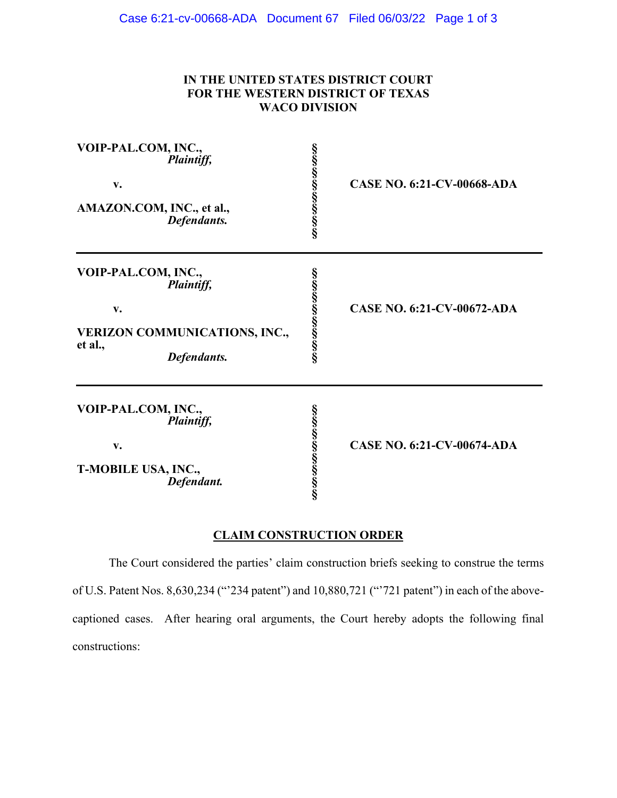## **IN THE UNITED STATES DISTRICT COURT FOR THE WESTERN DISTRICT OF TEXAS WACO DIVISION**

| VOIP-PAL.COM, INC.,<br>Plaintiff,<br>v.<br>AMAZON.COM, INC., et al.,<br>Defendants.                       | တယ်လာတယ်လာတယ် | <b>CASE NO. 6:21-CV-00668-ADA</b> |
|-----------------------------------------------------------------------------------------------------------|---------------|-----------------------------------|
| VOIP-PAL.COM, INC.,<br>Plaintiff,<br>v.<br><b>VERIZON COMMUNICATIONS, INC.,</b><br>et al.,<br>Defendants. | တယ်လာတယ်လာတယ် | <b>CASE NO. 6:21-CV-00672-ADA</b> |
| VOIP-PAL.COM, INC.,<br>Plaintiff,<br>v.<br>T-MOBILE USA, INC.,<br>Defendant.                              | တယ်လာတယ်လာတယ် | CASE NO. 6:21-CV-00674-ADA        |

## **CLAIM CONSTRUCTION ORDER**

The Court considered the parties' claim construction briefs seeking to construe the terms of U.S. Patent Nos. 8,630,234 ("'234 patent") and 10,880,721 ("'721 patent") in each of the abovecaptioned cases. After hearing oral arguments, the Court hereby adopts the following final constructions: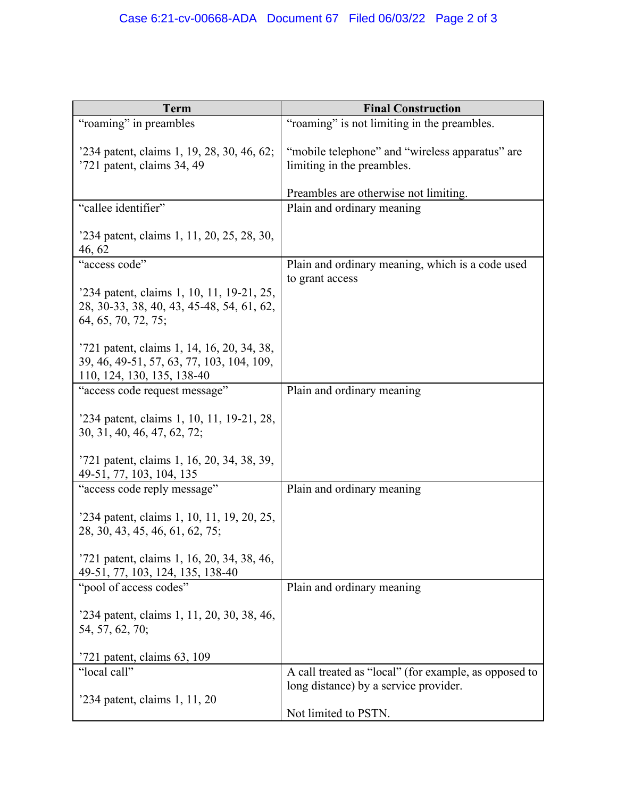| Term                                                                                                                  | <b>Final Construction</b>                                                     |
|-----------------------------------------------------------------------------------------------------------------------|-------------------------------------------------------------------------------|
| "roaming" in preambles                                                                                                | "roaming" is not limiting in the preambles.                                   |
| '234 patent, claims 1, 19, 28, 30, 46, 62;<br>'721 patent, claims 34, 49                                              | "mobile telephone" and "wireless apparatus" are<br>limiting in the preambles. |
|                                                                                                                       | Preambles are otherwise not limiting.                                         |
| "callee identifier"                                                                                                   | Plain and ordinary meaning                                                    |
| '234 patent, claims 1, 11, 20, 25, 28, 30,<br>46, 62                                                                  |                                                                               |
| "access code"                                                                                                         | Plain and ordinary meaning, which is a code used                              |
| '234 patent, claims 1, 10, 11, 19-21, 25,<br>28, 30-33, 38, 40, 43, 45-48, 54, 61, 62,<br>64, 65, 70, 72, 75;         | to grant access                                                               |
| '721 patent, claims 1, 14, 16, 20, 34, 38,<br>39, 46, 49-51, 57, 63, 77, 103, 104, 109,<br>110, 124, 130, 135, 138-40 |                                                                               |
| "access code request message"                                                                                         | Plain and ordinary meaning                                                    |
| '234 patent, claims 1, 10, 11, 19-21, 28,<br>30, 31, 40, 46, 47, 62, 72;                                              |                                                                               |
| '721 patent, claims 1, 16, 20, 34, 38, 39,<br>49-51, 77, 103, 104, 135                                                |                                                                               |
| "access code reply message"                                                                                           | Plain and ordinary meaning                                                    |
| '234 patent, claims 1, 10, 11, 19, 20, 25,<br>28, 30, 43, 45, 46, 61, 62, 75;                                         |                                                                               |
| '721 patent, claims 1, 16, 20, 34, 38, 46,<br>49-51, 77, 103, 124, 135, 138-40                                        |                                                                               |
| "pool of access codes"                                                                                                | Plain and ordinary meaning                                                    |
| '234 patent, claims 1, 11, 20, 30, 38, 46,<br>54, 57, 62, 70;                                                         |                                                                               |
| $'721$ patent, claims 63, 109                                                                                         |                                                                               |
| "local call"                                                                                                          | A call treated as "local" (for example, as opposed to                         |
| '234 patent, claims 1, 11, 20                                                                                         | long distance) by a service provider.                                         |
|                                                                                                                       | Not limited to PSTN.                                                          |